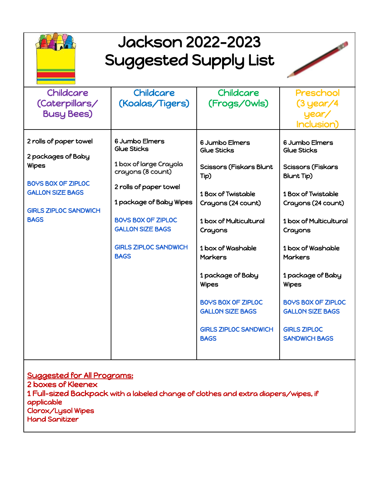

## Jackson 2022-2023 Suggested Supply List



| Childcare                                            | <b>Childcare</b>                                     | <b>Childcare</b>                                     | Preschool                                            |
|------------------------------------------------------|------------------------------------------------------|------------------------------------------------------|------------------------------------------------------|
| (Caterpillars/                                       | (Koalas/Tigers)                                      | (Frogs/0wls)                                         | $(3$ year/4                                          |
| <b>Busy Bees)</b>                                    |                                                      |                                                      | year/                                                |
|                                                      |                                                      |                                                      | Inclusion)                                           |
| 2 rolls of paper towel                               | 6 Jumbo Elmers<br>Glue Sticks                        | 6 Jumbo Elmers<br>Glue Sticks                        | 6 Jumbo Elmers<br>Glue Sticks                        |
| 2 packages of Baby                                   |                                                      |                                                      |                                                      |
| <b>Wipes</b>                                         | 1 box of large Crayola<br>crayons (8 count)          | <b>Scissors (Fiskars Blunt</b><br>Tip)               | <b>Scissors (Fiskars</b><br><b>Blunt Tip)</b>        |
| <b>BOYS BOX OF ZIPLOC</b><br><b>GALLON SIZE BAGS</b> | 2 rolls of paper towel                               | 1 Box of Twistable                                   | 1 Box of Twistable                                   |
|                                                      | 1 package of Baby Wipes                              | Crayons (24 count)                                   | Crayons (24 count)                                   |
| <b>GIRLS ZIPLOC SANDWICH</b>                         |                                                      |                                                      |                                                      |
| <b>BAGS</b>                                          | <b>BOYS BOX OF ZIPLOC</b><br><b>GALLON SIZE BAGS</b> | 1 box of Multicultural<br>Crayons                    | 1 box of Multicultural<br>Crayons                    |
|                                                      | <b>GIRLS ZIPLOC SANDWICH</b><br><b>BAGS</b>          | 1 box of Washable<br><b>Markers</b>                  | 1 box of Washable<br><b>Markers</b>                  |
|                                                      |                                                      | 1 package of Baby<br><b>Wipes</b>                    | 1 package of Baby<br><b>Wipes</b>                    |
|                                                      |                                                      | <b>BOYS BOX OF ZIPLOC</b><br><b>GALLON SIZE BAGS</b> | <b>BOYS BOX OF ZIPLOC</b><br><b>GALLON SIZE BAGS</b> |
|                                                      |                                                      | <b>GIRLS ZIPLOC SANDWICH</b><br><b>BAGS</b>          | <b>GIRLS ZIPLOC</b><br><b>SANDWICH BAGS</b>          |
| $\sim$                                               |                                                      |                                                      |                                                      |

Suggested for All Programs: 2 boxes of Kleenex 1 Full-sized Backpack with a labeled change of clothes and extra diapers/wipes, if applicable Clorox/Lysol Wipes Hand Sanitizer